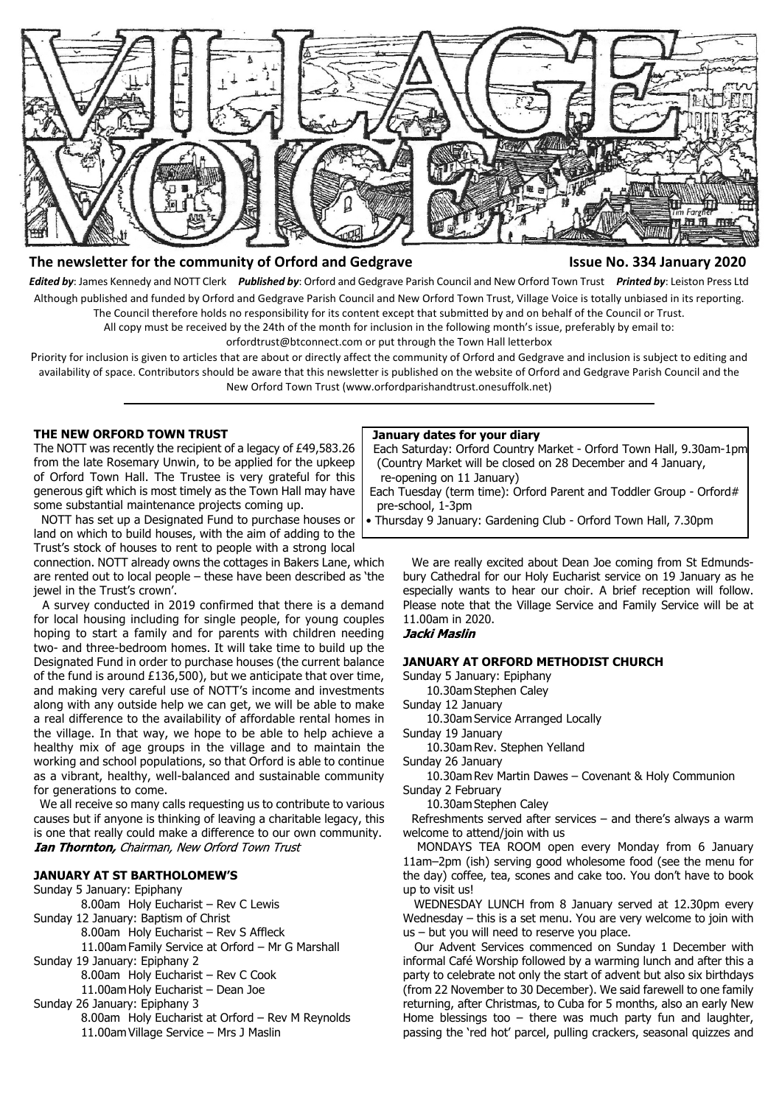

#### **The newsletter for the community of Orford and Gedgrave Issue No. 334 January 2020**

*Edited by*: James Kennedy and NOTT Clerk *Published by*: Orford and Gedgrave Parish Council and New Orford Town Trust *Printed by*: Leiston Press Ltd Although published and funded by Orford and Gedgrave Parish Council and New Orford Town Trust, Village Voice is totally unbiased in its reporting. The Council therefore holds no responsibility for its content except that submitted by and on behalf of the Council or Trust.

All copy must be received by the 24th of the month for inclusion in the following month's issue, preferably by email to:

orfordtrust@btconnect.com or put through the Town Hall letterbox

Priority for inclusion is given to articles that are about or directly affect the community of Orford and Gedgrave and inclusion is subject to editing and availability of space. Contributors should be aware that this newsletter is published on the website of Orford and Gedgrave Parish Council and the New Orford Town Trust (www.orfordparishandtrust.onesuffolk.net)

#### **THE NEW ORFORD TOWN TRUST**

The NOTT was recently the recipient of a legacy of £49,583.26 from the late Rosemary Unwin, to be applied for the upkeep of Orford Town Hall. The Trustee is very grateful for this generous gift which is most timely as the Town Hall may have some substantial maintenance projects coming up.

 NOTT has set up a Designated Fund to purchase houses or land on which to build houses, with the aim of adding to the Trust's stock of houses to rent to people with a strong local

connection. NOTT already owns the cottages in Bakers Lane, which are rented out to local people – these have been described as 'the jewel in the Trust's crown'.

 A survey conducted in 2019 confirmed that there is a demand for local housing including for single people, for young couples hoping to start a family and for parents with children needing two- and three-bedroom homes. It will take time to build up the Designated Fund in order to purchase houses (the current balance of the fund is around £136,500), but we anticipate that over time, and making very careful use of NOTT's income and investments along with any outside help we can get, we will be able to make a real difference to the availability of affordable rental homes in the village. In that way, we hope to be able to help achieve a healthy mix of age groups in the village and to maintain the working and school populations, so that Orford is able to continue as a vibrant, healthy, well-balanced and sustainable community for generations to come.

 We all receive so many calls requesting us to contribute to various causes but if anyone is thinking of leaving a charitable legacy, this is one that really could make a difference to our own community. **Ian Thornton, Chairman, New Orford Town Trust** 

#### **JANUARY AT ST BARTHOLOMEW'S**

#### Sunday 5 January: Epiphany

- 8.00am Holy Eucharist Rev C Lewis
- Sunday 12 January: Baptism of Christ
	- 8.00am Holy Eucharist Rev S Affleck

11.00am Family Service at Orford – Mr G Marshall Sunday 19 January: Epiphany 2

8.00am Holy Eucharist – Rev C Cook

11.00am Holy Eucharist – Dean Joe

Sunday 26 January: Epiphany 3

8.00am Holy Eucharist at Orford – Rev M Reynolds 11.00am Village Service – Mrs J Maslin

#### **January dates for your diary**

 Each Saturday: Orford Country Market - Orford Town Hall, 9.30am-1pm (Country Market will be closed on 28 December and 4 January, re-opening on 11 January)

 Each Tuesday (term time): Orford Parent and Toddler Group - Orford# pre-school, 1-3pm

• Thursday 9 January: Gardening Club - Orford Town Hall, 7.30pm

 We are really excited about Dean Joe coming from St Edmundsbury Cathedral for our Holy Eucharist service on 19 January as he especially wants to hear our choir. A brief reception will follow. Please note that the Village Service and Family Service will be at 11.00am in 2020.

### Jacki Maslin

#### **JANUARY AT ORFORD METHODIST CHURCH**

Sunday 5 January: Epiphany

10.30am Stephen Caley

Sunday 12 January

10.30am Service Arranged Locally

Sunday 19 January

10.30am Rev. Stephen Yelland

Sunday 26 January

10.30am Rev Martin Dawes – Covenant & Holy Communion Sunday 2 February

10.30am Stephen Caley

 Refreshments served after services – and there's always a warm welcome to attend/join with us

 MONDAYS TEA ROOM open every Monday from 6 January 11am–2pm (ish) serving good wholesome food (see the menu for the day) coffee, tea, scones and cake too. You don't have to book up to visit us!

 WEDNESDAY LUNCH from 8 January served at 12.30pm every Wednesday – this is a set menu. You are very welcome to join with us – but you will need to reserve you place.

 Our Advent Services commenced on Sunday 1 December with informal Café Worship followed by a warming lunch and after this a party to celebrate not only the start of advent but also six birthdays (from 22 November to 30 December). We said farewell to one family returning, after Christmas, to Cuba for 5 months, also an early New Home blessings too – there was much party fun and laughter, passing the 'red hot' parcel, pulling crackers, seasonal quizzes and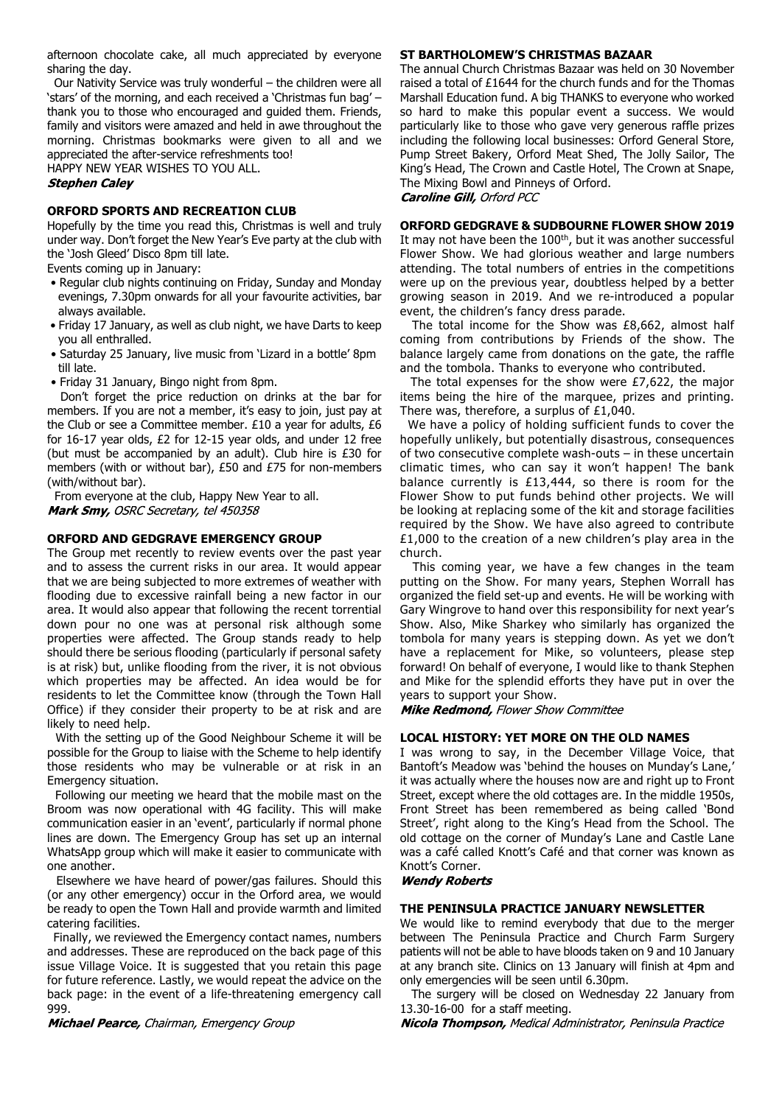afternoon chocolate cake, all much appreciated by everyone sharing the day.

 Our Nativity Service was truly wonderful – the children were all 'stars' of the morning, and each received a 'Christmas fun bag' – thank you to those who encouraged and guided them. Friends, family and visitors were amazed and held in awe throughout the morning. Christmas bookmarks were given to all and we appreciated the after-service refreshments too!

HAPPY NEW YEAR WISHES TO YOU ALL.

#### **Stephen Calev**

#### **ORFORD SPORTS AND RECREATION CLUB**

Hopefully by the time you read this, Christmas is well and truly under way. Don't forget the New Year's Eve party at the club with the 'Josh Gleed' Disco 8pm till late.

Events coming up in January:

- Regular club nights continuing on Friday, Sunday and Monday evenings, 7.30pm onwards for all your favourite activities, bar always available.
- Friday 17 January, as well as club night, we have Darts to keep you all enthralled.
- Saturday 25 January, live music from 'Lizard in a bottle' 8pm till late.
- Friday 31 January, Bingo night from 8pm.

 Don't forget the price reduction on drinks at the bar for members. If you are not a member, it's easy to join, just pay at the Club or see a Committee member. £10 a year for adults, £6 for 16-17 year olds, £2 for 12-15 year olds, and under 12 free (but must be accompanied by an adult). Club hire is £30 for members (with or without bar), £50 and £75 for non-members (with/without bar).

 From everyone at the club, Happy New Year to all. Mark Smy, OSRC Secretary, tel 450358

#### **ORFORD AND GEDGRAVE EMERGENCY GROUP**

The Group met recently to review events over the past year and to assess the current risks in our area. It would appear that we are being subjected to more extremes of weather with flooding due to excessive rainfall being a new factor in our area. It would also appear that following the recent torrential down pour no one was at personal risk although some properties were affected. The Group stands ready to help should there be serious flooding (particularly if personal safety is at risk) but, unlike flooding from the river, it is not obvious which properties may be affected. An idea would be for residents to let the Committee know (through the Town Hall Office) if they consider their property to be at risk and are likely to need help.

 With the setting up of the Good Neighbour Scheme it will be possible for the Group to liaise with the Scheme to help identify those residents who may be vulnerable or at risk in an Emergency situation.

 Following our meeting we heard that the mobile mast on the Broom was now operational with 4G facility. This will make communication easier in an 'event', particularly if normal phone lines are down. The Emergency Group has set up an internal WhatsApp group which will make it easier to communicate with one another.

 Elsewhere we have heard of power/gas failures. Should this (or any other emergency) occur in the Orford area, we would be ready to open the Town Hall and provide warmth and limited catering facilities.

 Finally, we reviewed the Emergency contact names, numbers and addresses. These are reproduced on the back page of this issue Village Voice. It is suggested that you retain this page for future reference. Lastly, we would repeat the advice on the back page: in the event of a life-threatening emergency call 999.

Michael Pearce, Chairman, Emergency Group

#### **ST BARTHOLOMEW'S CHRISTMAS BAZAAR**

The annual Church Christmas Bazaar was held on 30 November raised a total of £1644 for the church funds and for the Thomas Marshall Education fund. A big THANKS to everyone who worked so hard to make this popular event a success. We would particularly like to those who gave very generous raffle prizes including the following local businesses: Orford General Store, Pump Street Bakery, Orford Meat Shed, The Jolly Sailor, The King's Head, The Crown and Castle Hotel, The Crown at Snape, The Mixing Bowl and Pinneys of Orford.

**Caroline Gill, Orford PCC** 

#### **ORFORD GEDGRAVE & SUDBOURNE FLOWER SHOW 2019**

It may not have been the 100<sup>th</sup>, but it was another successful Flower Show. We had glorious weather and large numbers attending. The total numbers of entries in the competitions were up on the previous year, doubtless helped by a better growing season in 2019. And we re-introduced a popular event, the children's fancy dress parade.

 The total income for the Show was £8,662, almost half coming from contributions by Friends of the show. The balance largely came from donations on the gate, the raffle and the tombola. Thanks to everyone who contributed.

 The total expenses for the show were £7,622, the major items being the hire of the marquee, prizes and printing. There was, therefore, a surplus of £1,040.

 We have a policy of holding sufficient funds to cover the hopefully unlikely, but potentially disastrous, consequences of two consecutive complete wash-outs – in these uncertain climatic times, who can say it won't happen! The bank balance currently is £13,444, so there is room for the Flower Show to put funds behind other projects. We will be looking at replacing some of the kit and storage facilities required by the Show. We have also agreed to contribute £1,000 to the creation of a new children's play area in the church.

 This coming year, we have a few changes in the team putting on the Show. For many years, Stephen Worrall has organized the field set-up and events. He will be working with Gary Wingrove to hand over this responsibility for next year's Show. Also, Mike Sharkey who similarly has organized the tombola for many years is stepping down. As yet we don't have a replacement for Mike, so volunteers, please step forward! On behalf of everyone, I would like to thank Stephen and Mike for the splendid efforts they have put in over the years to support your Show.

Mike Redmond, Flower Show Committee

#### **LOCAL HISTORY: YET MORE ON THE OLD NAMES**

I was wrong to say, in the December Village Voice, that Bantoft's Meadow was 'behind the houses on Munday's Lane,' it was actually where the houses now are and right up to Front Street, except where the old cottages are. In the middle 1950s, Front Street has been remembered as being called 'Bond Street', right along to the King's Head from the School. The old cottage on the corner of Munday's Lane and Castle Lane was a café called Knott's Café and that corner was known as Knott's Corner.

#### **Wendy Roberts**

#### **THE PENINSULA PRACTICE JANUARY NEWSLETTER**

We would like to remind everybody that due to the merger between The Peninsula Practice and Church Farm Surgery patients will not be able to have bloods taken on 9 and 10 January at any branch site. Clinics on 13 January will finish at 4pm and only emergencies will be seen until 6.30pm.

 The surgery will be closed on Wednesday 22 January from 13.30-16-00 for a staff meeting.

Nicola Thompson, Medical Administrator, Peninsula Practice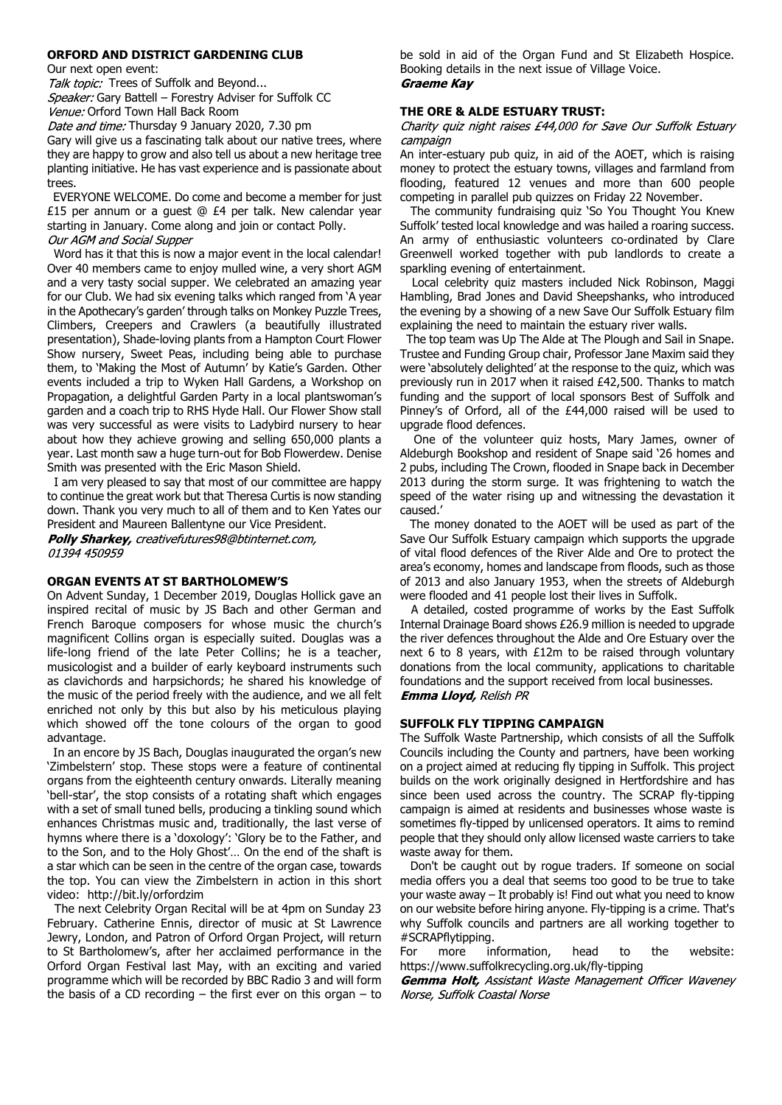#### **ORFORD AND DISTRICT GARDENING CLUB**

Our next open event:

Talk topic: Trees of Suffolk and Beyond...

Speaker: Gary Battell – Forestry Adviser for Suffolk CC Venue: Orford Town Hall Back Room

Date and time: Thursday 9 January 2020, 7.30 pm

Gary will give us a fascinating talk about our native trees, where they are happy to grow and also tell us about a new heritage tree planting initiative. He has vast experience and is passionate about trees.

 EVERYONE WELCOME. Do come and become a member for just £15 per annum or a guest  $@$  £4 per talk. New calendar year starting in January. Come along and join or contact Polly. Our AGM and Social Supper

 Word has it that this is now a major event in the local calendar! Over 40 members came to enjoy mulled wine, a very short AGM and a very tasty social supper. We celebrated an amazing year for our Club. We had six evening talks which ranged from 'A year in the Apothecary's garden' through talks on Monkey Puzzle Trees, Climbers, Creepers and Crawlers (a beautifully illustrated presentation), Shade-loving plants from a Hampton Court Flower Show nursery, Sweet Peas, including being able to purchase them, to 'Making the Most of Autumn' by Katie's Garden. Other events included a trip to Wyken Hall Gardens, a Workshop on Propagation, a delightful Garden Party in a local plantswoman's garden and a coach trip to RHS Hyde Hall. Our Flower Show stall was very successful as were visits to Ladybird nursery to hear about how they achieve growing and selling 650,000 plants a year. Last month saw a huge turn-out for Bob Flowerdew. Denise Smith was presented with the Eric Mason Shield.

 I am very pleased to say that most of our committee are happy to continue the great work but that Theresa Curtis is now standing down. Thank you very much to all of them and to Ken Yates our President and Maureen Ballentyne our Vice President.

Polly Sharkey, creativefutures98@btinternet.com, 01394 450959

#### **ORGAN EVENTS AT ST BARTHOLOMEW'S**

On Advent Sunday, 1 December 2019, Douglas Hollick gave an inspired recital of music by JS Bach and other German and French Baroque composers for whose music the church's magnificent Collins organ is especially suited. Douglas was a life-long friend of the late Peter Collins; he is a teacher, musicologist and a builder of early keyboard instruments such as clavichords and harpsichords; he shared his knowledge of the music of the period freely with the audience, and we all felt enriched not only by this but also by his meticulous playing which showed off the tone colours of the organ to good advantage.

 In an encore by JS Bach, Douglas inaugurated the organ's new 'Zimbelstern' stop. These stops were a feature of continental organs from the eighteenth century onwards. Literally meaning 'bell-star', the stop consists of a rotating shaft which engages with a set of small tuned bells, producing a tinkling sound which enhances Christmas music and, traditionally, the last verse of hymns where there is a 'doxology': 'Glory be to the Father, and to the Son, and to the Holy Ghost'… On the end of the shaft is a star which can be seen in the centre of the organ case, towards the top. You can view the Zimbelstern in action in this short video: http://bit.ly/orfordzim

 The next Celebrity Organ Recital will be at 4pm on Sunday 23 February. Catherine Ennis, director of music at St Lawrence Jewry, London, and Patron of Orford Organ Project, will return to St Bartholomew's, after her acclaimed performance in the Orford Organ Festival last May, with an exciting and varied programme which will be recorded by BBC Radio 3 and will form the basis of a CD recording  $-$  the first ever on this organ  $-$  to

be sold in aid of the Organ Fund and St Elizabeth Hospice. Booking details in the next issue of Village Voice. **Graeme Kay** 

#### **THE ORE & ALDE ESTUARY TRUST:**

Charity quiz night raises £44,000 for Save Our Suffolk Estuary campaign

An inter-estuary pub quiz, in aid of the AOET, which is raising money to protect the estuary towns, villages and farmland from flooding, featured 12 venues and more than 600 people competing in parallel pub quizzes on Friday 22 November.

 The community fundraising quiz 'So You Thought You Knew Suffolk' tested local knowledge and was hailed a roaring success. An army of enthusiastic volunteers co-ordinated by Clare Greenwell worked together with pub landlords to create a sparkling evening of entertainment.

 Local celebrity quiz masters included Nick Robinson, Maggi Hambling, Brad Jones and David Sheepshanks, who introduced the evening by a showing of a new Save Our Suffolk Estuary film explaining the need to maintain the estuary river walls.

 The top team was Up The Alde at The Plough and Sail in Snape. Trustee and Funding Group chair, Professor Jane Maxim said they were 'absolutely delighted' at the response to the quiz, which was previously run in 2017 when it raised £42,500. Thanks to match funding and the support of local sponsors Best of Suffolk and Pinney's of Orford, all of the £44,000 raised will be used to upgrade flood defences.

 One of the volunteer quiz hosts, Mary James, owner of Aldeburgh Bookshop and resident of Snape said '26 homes and 2 pubs, including The Crown, flooded in Snape back in December 2013 during the storm surge. It was frightening to watch the speed of the water rising up and witnessing the devastation it caused.'

 The money donated to the AOET will be used as part of the Save Our Suffolk Estuary campaign which supports the upgrade of vital flood defences of the River Alde and Ore to protect the area's economy, homes and landscape from floods, such as those of 2013 and also January 1953, when the streets of Aldeburgh were flooded and 41 people lost their lives in Suffolk.

 A detailed, costed programme of works by the East Suffolk Internal Drainage Board shows £26.9 million is needed to upgrade the river defences throughout the Alde and Ore Estuary over the next 6 to 8 years, with £12m to be raised through voluntary donations from the local community, applications to charitable foundations and the support received from local businesses. Emma Lloyd, Relish PR

#### **SUFFOLK FLY TIPPING CAMPAIGN**

The Suffolk Waste Partnership, which consists of all the Suffolk Councils including the County and partners, have been working on a project aimed at reducing fly tipping in Suffolk. This project builds on the work originally designed in Hertfordshire and has since been used across the country. The SCRAP fly-tipping campaign is aimed at residents and businesses whose waste is sometimes fly-tipped by unlicensed operators. It aims to remind people that they should only allow licensed waste carriers to take waste away for them.

 Don't be caught out by rogue traders. If someone on social media offers you a deal that seems too good to be true to take your waste away – It probably is! Find out what you need to know on our website before hiring anyone. Fly-tipping is a crime. That's why Suffolk councils and partners are all working together to #SCRAPflytipping.

For more information, head to the website: https://www.suffolkrecycling.org.uk/fly-tipping

**Gemma Holt, Assistant Waste Management Officer Waveney** Norse, Suffolk Coastal Norse